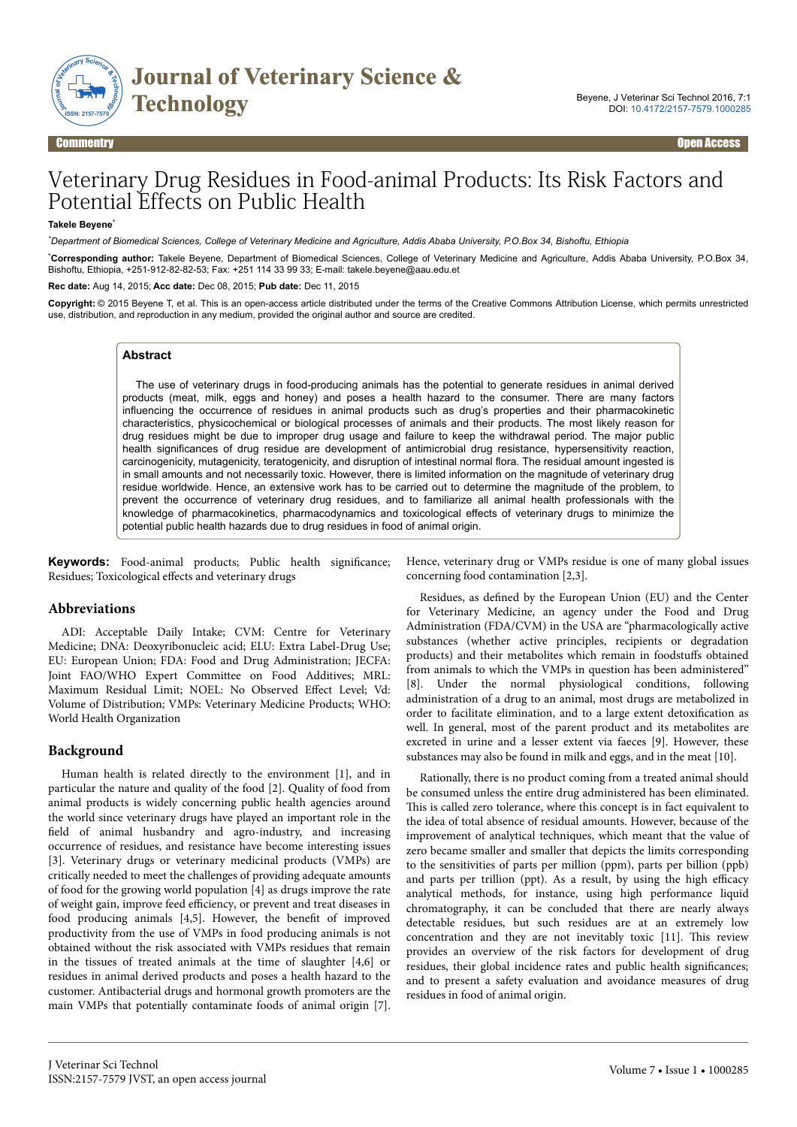

# Veterinary Drug Residues in Food-animal Products: Its Risk Factors and Potential Effects on Public Health

#### **Takele Beyene**\*

*\*Department of Biomedical Sciences, College of Veterinary Medicine and Agriculture, Addis Ababa University, P.O.Box 34, Bishoftu, Ethiopia*

\***Corresponding author:** Takele Beyene, Department of Biomedical Sciences, College of Veterinary Medicine and Agriculture, Addis Ababa University, P.O.Box 34, Bishoftu, Ethiopia, +251-912-82-82-53; Fax: +251 114 33 99 33; E-mail: takele.beyene@aau.edu.et

**Rec date:** Aug 14, 2015; **Acc date:** Dec 08, 2015; **Pub date:** Dec 11, 2015

**Copyright:** © 2015 Beyene T, et al. This is an open-access article distributed under the terms of the Creative Commons Attribution License, which permits unrestricted use, distribution, and reproduction in any medium, provided the original author and source are credited.

#### **Abstract**

The use of veterinary drugs in food-producing animals has the potential to generate residues in animal derived products (meat, milk, eggs and honey) and poses a health hazard to the consumer. There are many factors influencing the occurrence of residues in animal products such as drug's properties and their pharmacokinetic characteristics, physicochemical or biological processes of animals and their products. The most likely reason for drug residues might be due to improper drug usage and failure to keep the withdrawal period. The major public health significances of drug residue are development of antimicrobial drug resistance, hypersensitivity reaction, carcinogenicity, mutagenicity, teratogenicity, and disruption of intestinal normal flora. The residual amount ingested is in small amounts and not necessarily toxic. However, there is limited information on the magnitude of veterinary drug residue worldwide. Hence, an extensive work has to be carried out to determine the magnitude of the problem, to prevent the occurrence of veterinary drug residues, and to familiarize all animal health professionals with the knowledge of pharmacokinetics, pharmacodynamics and toxicological effects of veterinary drugs to minimize the potential public health hazards due to drug residues in food of animal origin.

**Keywords:** Food-animal products; Public health significance Residues; Toxicological effects and veterinary drugs

#### **Abbreviations**

ADI: Acceptable Daily Intake; CVM: Centre for Veterinary Medicine; DNA: Deoxyribonucleic acid; ELU: Extra Label-Drug Use; EU: European Union; FDA: Food and Drug Administration; JECFA: Joint FAO/WHO Expert Committee on Food Additives; MRL: Maximum Residual Limit; NOEL: No Observed Effect Level; Vd: Volume of Distribution; VMPs: Veterinary Medicine Products; WHO: World Health Organization

#### **Background**

Human health is related directly to the environment [1], and in particular the nature and quality of the food [2]. Quality of food from animal products is widely concerning public health agencies around the world since veterinary drugs have played an important role in the field of animal husbandry and agro-industry, and increasing occurrence of residues, and resistance have become interesting issues [3]. Veterinary drugs or veterinary medicinal products (VMPs) are critically needed to meet the challenges of providing adequate amounts of food for the growing world population [4] as drugs improve the rate of weight gain, improve feed efficiency, or prevent and treat diseases in food producing animals [4,5]. However, the benefit of improved productivity from the use of VMPs in food producing animals is not obtained without the risk associated with VMPs residues that remain in the tissues of treated animals at the time of slaughter [4,6] or residues in animal derived products and poses a health hazard to the customer. Antibacterial drugs and hormonal growth promoters are the main VMPs that potentially contaminate foods of animal origin [7].

Hence, veterinary drug or VMPs residue is one of many global issues concerning food contamination [2,3].

Residues, as defined by the European Union (EU) and the Center for Veterinary Medicine, an agency under the Food and Drug Administration (FDA/CVM) in the USA are "pharmacologically active substances (whether active principles, recipients or degradation products) and their metabolites which remain in foodstuffs obtained from animals to which the VMPs in question has been administered" [8]. Under the normal physiological conditions, following administration of a drug to an animal, most drugs are metabolized in order to facilitate elimination, and to a large extent detoxification as well. In general, most of the parent product and its metabolites are excreted in urine and a lesser extent via faeces [9]. However, these substances may also be found in milk and eggs, and in the meat [10].

Rationally, there is no product coming from a treated animal should be consumed unless the entire drug administered has been eliminated. This is called zero tolerance, where this concept is in fact equivalent to the idea of total absence of residual amounts. However, because of the improvement of analytical techniques, which meant that the value of zero became smaller and smaller that depicts the limits corresponding to the sensitivities of parts per million (ppm), parts per billion (ppb) and parts per trillion (ppt). As a result, by using the high efficacy analytical methods, for instance, using high performance liquid chromatography, it can be concluded that there are nearly always detectable residues, but such residues are at an extremely low concentration and they are not inevitably toxic [11]. Нis review provides an overview of the risk factors for development of drug residues, their global incidence rates and public health significances and to present a safety evaluation and avoidance measures of drug residues in food of animal origin.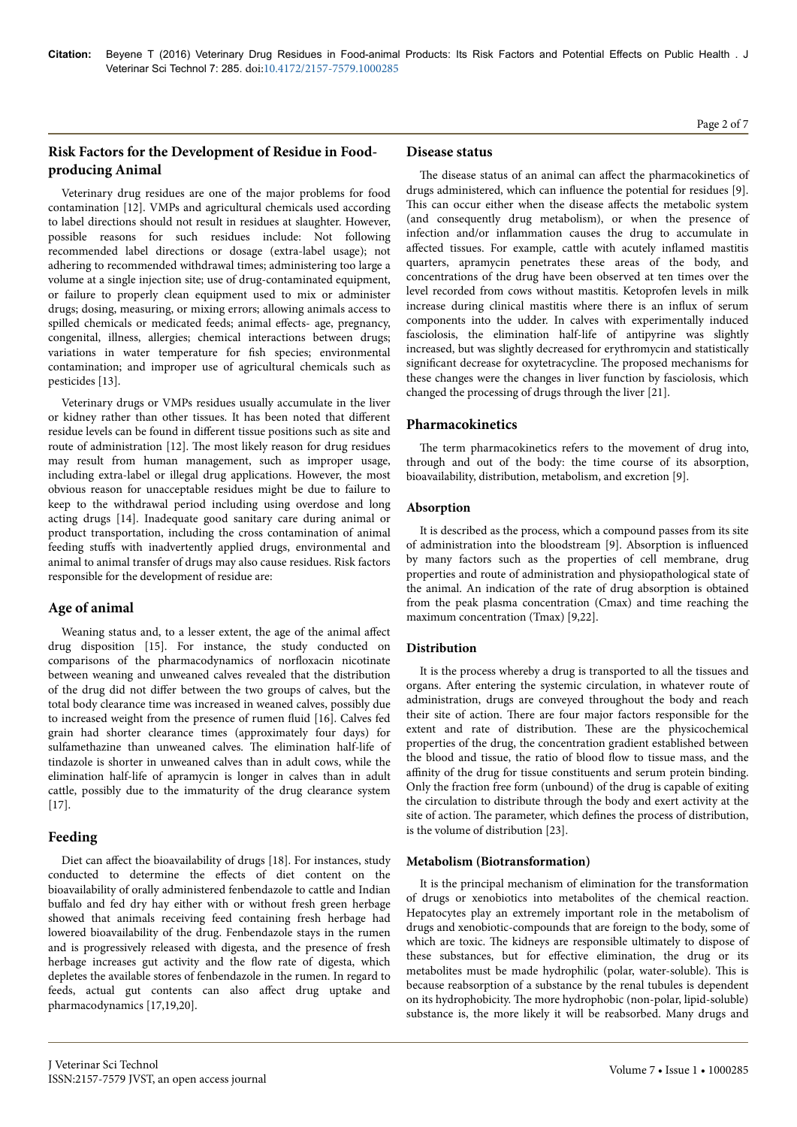# **Risk Factors for the Development of Residue in Foodproducing Animal**

Veterinary drug residues are one of the major problems for food contamination [12]. VMPs and agricultural chemicals used according to label directions should not result in residues at slaughter. However, possible reasons for such residues include: Not following recommended label directions or dosage (extra-label usage); not adhering to recommended withdrawal times; administering too large a volume at a single injection site; use of drug-contaminated equipment, or failure to properly clean equipment used to mix or administer drugs; dosing, measuring, or mixing errors; allowing animals access to spilled chemicals or medicated feeds; animal effects- age, pregnancy, congenital, illness, allergies; chemical interactions between drugs; variations in water temperature for fish species; environmental contamination; and improper use of agricultural chemicals such as pesticides [13].

Veterinary drugs or VMPs residues usually accumulate in the liver or kidney rather than other tissues. It has been noted that different residue levels can be found in different tissue positions such as site and route of administration [12]. Нe most likely reason for drug residues may result from human management, such as improper usage, including extra-label or illegal drug applications. However, the most obvious reason for unacceptable residues might be due to failure to keep to the withdrawal period including using overdose and long acting drugs [14]. Inadequate good sanitary care during animal or product transportation, including the cross contamination of animal feeding stuffs with inadvertently applied drugs, environmental and animal to animal transfer of drugs may also cause residues. Risk factors responsible for the development of residue are:

# **Age of animal**

Weaning status and, to a lesser extent, the age of the animal affect drug disposition [15]. For instance, the study conducted on comparisons of the pharmacodynamics of norfloxacin nicotinate between weaning and unweaned calves revealed that the distribution of the drug did not differ between the two groups of calves, but the total body clearance time was increased in weaned calves, possibly due to increased weight from the presence of rumen fluid [16]. Calves fed grain had shorter clearance times (approximately four days) for sulfamethazine than unweaned calves. Нe elimination half-life of tindazole is shorter in unweaned calves than in adult cows, while the elimination half-life of apramycin is longer in calves than in adult cattle, possibly due to the immaturity of the drug clearance system [17].

# **Feeding**

Diet can affect the bioavailability of drugs [18]. For instances, study conducted to determine the effects of diet content on the bioavailability of orally administered fenbendazole to cattle and Indian buffalo and fed dry hay either with or without fresh green herbage showed that animals receiving feed containing fresh herbage had lowered bioavailability of the drug. Fenbendazole stays in the rumen and is progressively released with digesta, and the presence of fresh herbage increases gut activity and the flow rate of digesta, which depletes the available stores of fenbendazole in the rumen. In regard to feeds, actual gut contents can also affect drug uptake and pharmacodynamics [17,19,20].

## **Disease status**

The disease status of an animal can affect the pharmacokinetics of drugs administered, which can influence the potential for residues [9]. This can occur either when the disease affects the metabolic system (and consequently drug metabolism), or when the presence of infection and/or inflammation causes the drug to accumulate in affected tissues. For example, cattle with acutely inflamed mastitis quarters, apramycin penetrates these areas of the body, and concentrations of the drug have been observed at ten times over the level recorded from cows without mastitis. Ketoprofen levels in milk increase during clinical mastitis where there is an influx of serum components into the udder. In calves with experimentally induced fasciolosis, the elimination half-life of antipyrine was slightly increased, but was slightly decreased for erythromycin and statistically significant decrease for oxytetracycline. Нe proposed mechanisms for these changes were the changes in liver function by fasciolosis, which changed the processing of drugs through the liver [21].

# **Pharmacokinetics**

The term pharmacokinetics refers to the movement of drug into, through and out of the body: the time course of its absorption, bioavailability, distribution, metabolism, and excretion [9].

## **Absorption**

It is described as the process, which a compound passes from its site of administration into the bloodstream [9]. Absorption is influenced by many factors such as the properties of cell membrane, drug properties and route of administration and physiopathological state of the animal. An indication of the rate of drug absorption is obtained from the peak plasma concentration (Cmax) and time reaching the maximum concentration (Tmax) [9,22].

# **Distribution**

It is the process whereby a drug is transported to all the tissues and organs. After entering the systemic circulation, in whatever route of administration, drugs are conveyed throughout the body and reach their site of action. Нere are four major factors responsible for the extent and rate of distribution. Нese are the physicochemical properties of the drug, the concentration gradient established between the blood and tissue, the ratio of blood flow to tissue mass, and the affinity of the drug for tissue constituents and serum protein binding. Only the fraction free form (unbound) of the drug is capable of exiting the circulation to distribute through the body and exert activity at the site of action. Нe parameter, which defines the process of distribution, is the volume of distribution [23].

## **Metabolism (Biotransformation)**

It is the principal mechanism of elimination for the transformation of drugs or xenobiotics into metabolites of the chemical reaction. Hepatocytes play an extremely important role in the metabolism of drugs and xenobiotic-compounds that are foreign to the body, some of which are toxic. Нe kidneys are responsible ultimately to dispose of these substances, but for effective elimination, the drug or its metabolites must be made hydrophilic (polar, water-soluble). Нis is because reabsorption of a substance by the renal tubules is dependent on its hydrophobicity. Нe more hydrophobic (non-polar, lipid-soluble) substance is, the more likely it will be reabsorbed. Many drugs and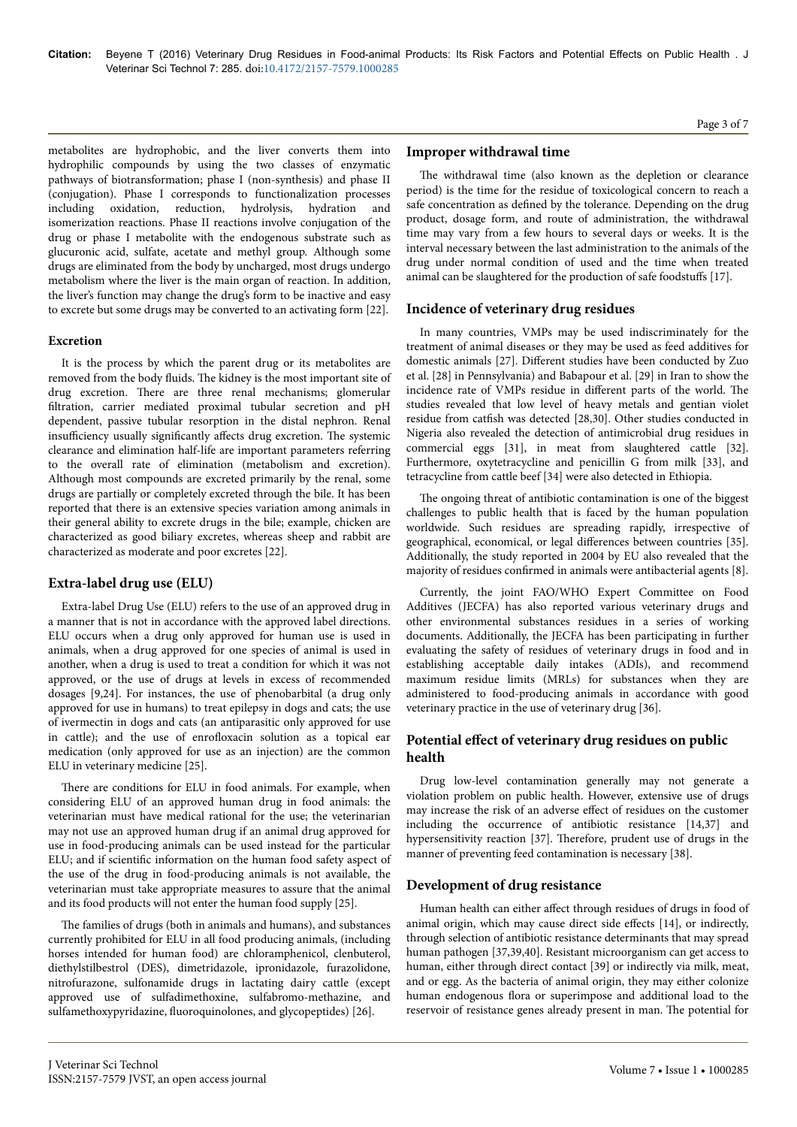metabolites are hydrophobic, and the liver converts them into hydrophilic compounds by using the two classes of enzymatic pathways of biotransformation; phase I (non-synthesis) and phase II (conjugation). Phase I corresponds to functionalization processes including oxidation, reduction, hydrolysis, hydration and isomerization reactions. Phase II reactions involve conjugation of the drug or phase I metabolite with the endogenous substrate such as glucuronic acid, sulfate, acetate and methyl group. Although some drugs are eliminated from the body by uncharged, most drugs undergo metabolism where the liver is the main organ of reaction. In addition, the liver's function may change the drug's form to be inactive and easy to excrete but some drugs may be converted to an activating form [22].

#### **Excretion**

It is the process by which the parent drug or its metabolites are removed from the body fluids. Нe kidney is the most important site of drug excretion. Нere are three renal mechanisms; glomerular filtration, carrier mediated proximal tubular secretion and pH dependent, passive tubular resorption in the distal nephron. Renal insufficiency usually significantly affects drug excretion. The systemic clearance and elimination half-life are important parameters referring to the overall rate of elimination (metabolism and excretion). Although most compounds are excreted primarily by the renal, some drugs are partially or completely excreted through the bile. It has been reported that there is an extensive species variation among animals in their general ability to excrete drugs in the bile; example, chicken are characterized as good biliary excretes, whereas sheep and rabbit are characterized as moderate and poor excretes [22].

# **Extra-label drug use (ELU)**

Extra-label Drug Use (ELU) refers to the use of an approved drug in a manner that is not in accordance with the approved label directions. ELU occurs when a drug only approved for human use is used in animals, when a drug approved for one species of animal is used in another, when a drug is used to treat a condition for which it was not approved, or the use of drugs at levels in excess of recommended dosages [9,24]. For instances, the use of phenobarbital (a drug only approved for use in humans) to treat epilepsy in dogs and cats; the use of ivermectin in dogs and cats (an antiparasitic only approved for use in cattle); and the use of enrofloxacin solution as a topical ear medication (only approved for use as an injection) are the common ELU in veterinary medicine [25].

There are conditions for ELU in food animals. For example, when considering ELU of an approved human drug in food animals: the veterinarian must have medical rational for the use; the veterinarian may not use an approved human drug if an animal drug approved for use in food-producing animals can be used instead for the particular ELU; and if scientific information on the human food safety aspect of the use of the drug in food-producing animals is not available, the veterinarian must take appropriate measures to assure that the animal and its food products will not enter the human food supply [25].

The families of drugs (both in animals and humans), and substances currently prohibited for ELU in all food producing animals, (including horses intended for human food) are chloramphenicol, clenbuterol, diethylstilbestrol (DES), dimetridazole, ipronidazole, furazolidone, nitrofurazone, sulfonamide drugs in lactating dairy cattle (except approved use of sulfadimethoxine, sulfabromo-methazine, and sulfamethoxypyridazine, fluoroquinolones, and glycopeptides) [26].

## **Improper withdrawal time**

The withdrawal time (also known as the depletion or clearance period) is the time for the residue of toxicological concern to reach a safe concentration as defined by the tolerance. Depending on the drug product, dosage form, and route of administration, the withdrawal time may vary from a few hours to several days or weeks. It is the interval necessary between the last administration to the animals of the drug under normal condition of used and the time when treated animal can be slaughtered for the production of safe foodstuffs [17].

## **Incidence of veterinary drug residues**

In many countries, VMPs may be used indiscriminately for the treatment of animal diseases or they may be used as feed additives for domestic animals [27]. Different studies have been conducted by Zuo et al. [28] in Pennsylvania) and Babapour et al. [29] in Iran to show the incidence rate of VMPs residue in different parts of the world. The studies revealed that low level of heavy metals and gentian violet residue from catfish was detected [28,30]. Other studies conducted in Nigeria also revealed the detection of antimicrobial drug residues in commercial eggs [31], in meat from slaughtered cattle [32]. Furthermore, oxytetracycline and penicillin G from milk [33], and tetracycline from cattle beef [34] were also detected in Ethiopia.

The ongoing threat of antibiotic contamination is one of the biggest challenges to public health that is faced by the human population worldwide. Such residues are spreading rapidly, irrespective of geographical, economical, or legal differences between countries [35]. Additionally, the study reported in 2004 by EU also revealed that the majority of residues confirmed in animals were antibacterial agents [8].

Currently, the joint FAO/WHO Expert Committee on Food Additives (JECFA) has also reported various veterinary drugs and other environmental substances residues in a series of working documents. Additionally, the JECFA has been participating in further evaluating the safety of residues of veterinary drugs in food and in establishing acceptable daily intakes (ADIs), and recommend maximum residue limits (MRLs) for substances when they are administered to food-producing animals in accordance with good veterinary practice in the use of veterinary drug [36].

# Potential effect of veterinary drug residues on public **health**

Drug low-level contamination generally may not generate a violation problem on public health. However, extensive use of drugs may increase the risk of an adverse effect of residues on the customer including the occurrence of antibiotic resistance [14,37] and hypersensitivity reaction [37]. Therefore, prudent use of drugs in the manner of preventing feed contamination is necessary [38].

## **Development of drug resistance**

Human health can either affect through residues of drugs in food of animal origin, which may cause direct side effects [14], or indirectly, through selection of antibiotic resistance determinants that may spread human pathogen [37,39,40]. Resistant microorganism can get access to human, either through direct contact [39] or indirectly via milk, meat, and or egg. As the bacteria of animal origin, they may either colonize human endogenous flora or superimpose and additional load to the reservoir of resistance genes already present in man. Нe potential for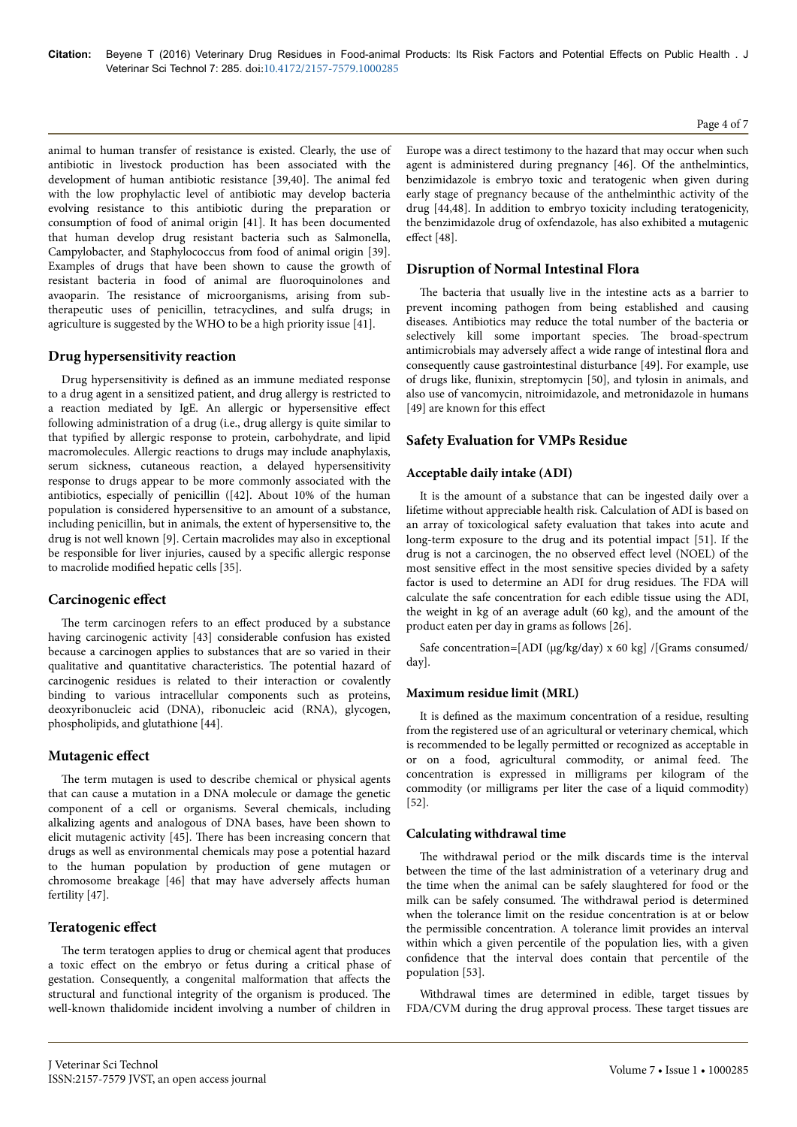animal to human transfer of resistance is existed. Clearly, the use of antibiotic in livestock production has been associated with the development of human antibiotic resistance [39,40]. Нe animal fed with the low prophylactic level of antibiotic may develop bacteria evolving resistance to this antibiotic during the preparation or consumption of food of animal origin [41]. It has been documented that human develop drug resistant bacteria such as Salmonella, Campylobacter, and Staphylococcus from food of animal origin [39]. Examples of drugs that have been shown to cause the growth of resistant bacteria in food of animal are fluoroquinolones and avaoparin. Нe resistance of microorganisms, arising from subtherapeutic uses of penicillin, tetracyclines, and sulfa drugs; in agriculture is suggested by the WHO to be a high priority issue [41].

## **Drug hypersensitivity reaction**

Drug hypersensitivity is defined as an immune mediated response to a drug agent in a sensitized patient, and drug allergy is restricted to a reaction mediated by IgE. An allergic or hypersensitive effect following administration of a drug (i.e., drug allergy is quite similar to that typified by allergic response to protein, carbohydrate, and lipid macromolecules. Allergic reactions to drugs may include anaphylaxis, serum sickness, cutaneous reaction, a delayed hypersensitivity response to drugs appear to be more commonly associated with the antibiotics, especially of penicillin ([42]. About 10% of the human population is considered hypersensitive to an amount of a substance, including penicillin, but in animals, the extent of hypersensitive to, the drug is not well known [9]. Certain macrolides may also in exceptional be responsible for liver injuries, caused by a specific allergic response to macrolide modified hepatic cells [35].

## **Carcinogenic effect**

The term carcinogen refers to an effect produced by a substance having carcinogenic activity [43] considerable confusion has existed because a carcinogen applies to substances that are so varied in their qualitative and quantitative characteristics. The potential hazard of carcinogenic residues is related to their interaction or covalently binding to various intracellular components such as proteins, deoxyribonucleic acid (DNA), ribonucleic acid (RNA), glycogen, phospholipids, and glutathione [44].

#### **Mutagenic effect**

The term mutagen is used to describe chemical or physical agents that can cause a mutation in a DNA molecule or damage the genetic component of a cell or organisms. Several chemicals, including alkalizing agents and analogous of DNA bases, have been shown to elicit mutagenic activity [45]. Нere has been increasing concern that drugs as well as environmental chemicals may pose a potential hazard to the human population by production of gene mutagen or chromosome breakage [46] that may have adversely affects human fertility [47].

## **Teratogenic effect**

The term teratogen applies to drug or chemical agent that produces a toxic effect on the embryo or fetus during a critical phase of gestation. Consequently, a congenital malformation that affects the structural and functional integrity of the organism is produced. Нe well-known thalidomide incident involving a number of children in

Europe was a direct testimony to the hazard that may occur when such agent is administered during pregnancy [46]. Of the anthelmintics, benzimidazole is embryo toxic and teratogenic when given during early stage of pregnancy because of the anthelminthic activity of the drug [44,48]. In addition to embryo toxicity including teratogenicity, the benzimidazole drug of oxfendazole, has also exhibited a mutagenic effect [48].

### **Disruption of Normal Intestinal Flora**

The bacteria that usually live in the intestine acts as a barrier to prevent incoming pathogen from being established and causing diseases. Antibiotics may reduce the total number of the bacteria or selectively kill some important species. The broad-spectrum antimicrobials may adversely affect a wide range of intestinal flora and consequently cause gastrointestinal disturbance [49]. For example, use of drugs like, flunixin, streptomycin [50], and tylosin in animals, and also use of vancomycin, nitroimidazole, and metronidazole in humans [49] are known for this effect

#### **Safety Evaluation for VMPs Residue**

#### **Acceptable daily intake (ADI)**

It is the amount of a substance that can be ingested daily over a lifetime without appreciable health risk. Calculation of ADI is based on an array of toxicological safety evaluation that takes into acute and long-term exposure to the drug and its potential impact [51]. If the drug is not a carcinogen, the no observed effect level (NOEL) of the most sensitive effect in the most sensitive species divided by a safety factor is used to determine an ADI for drug residues. Нe FDA will calculate the safe concentration for each edible tissue using the ADI, the weight in kg of an average adult (60 kg), and the amount of the product eaten per day in grams as follows [26].

Safe concentration=[ADI (µg/kg/day) x 60 kg] /[Grams consumed/ day].

#### **Maximum residue limit (MRL)**

It is defined as the maximum concentration of a residue, resulting from the registered use of an agricultural or veterinary chemical, which is recommended to be legally permitted or recognized as acceptable in or on a food, agricultural commodity, or animal feed. Нe concentration is expressed in milligrams per kilogram of the commodity (or milligrams per liter the case of a liquid commodity) [52].

#### **Calculating withdrawal time**

The withdrawal period or the milk discards time is the interval between the time of the last administration of a veterinary drug and the time when the animal can be safely slaughtered for food or the milk can be safely consumed. Нe withdrawal period is determined when the tolerance limit on the residue concentration is at or below the permissible concentration. A tolerance limit provides an interval within which a given percentile of the population lies, with a given confidence that the interval does contain that percentile of the population [53].

Withdrawal times are determined in edible, target tissues by FDA/CVM during the drug approval process. Нese target tissues are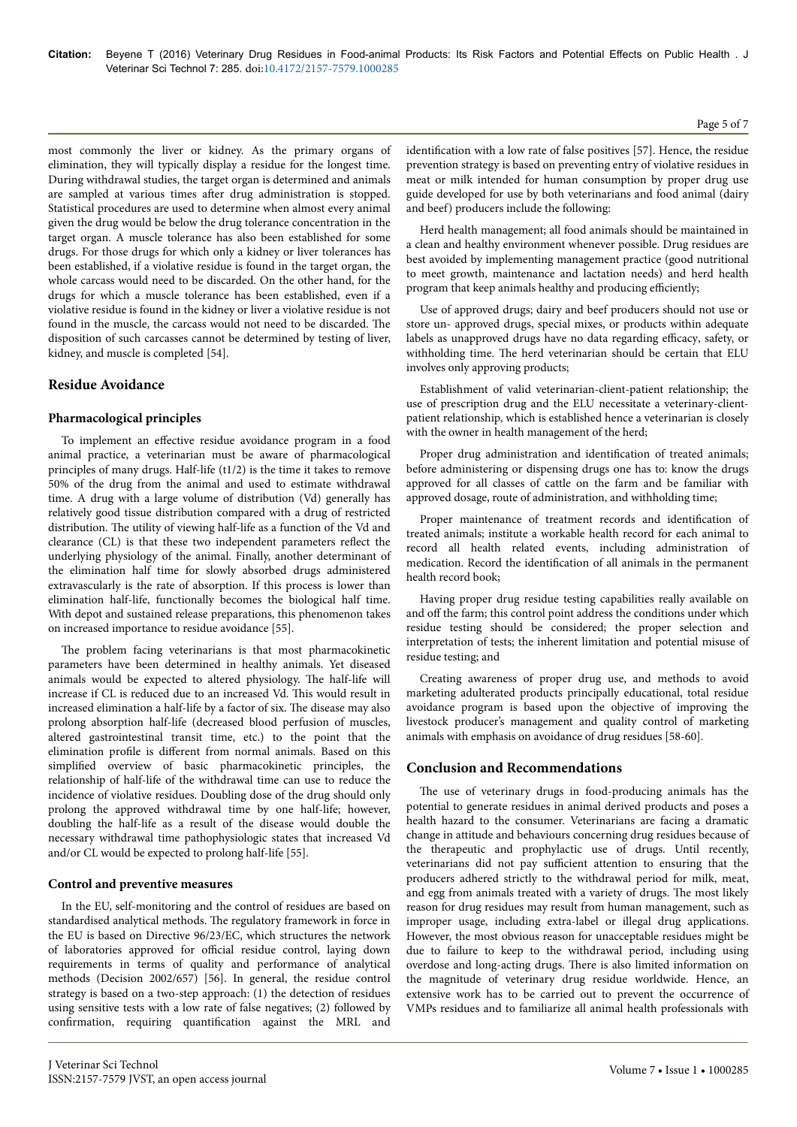most commonly the liver or kidney. As the primary organs of elimination, they will typically display a residue for the longest time. During withdrawal studies, the target organ is determined and animals are sampled at various times after drug administration is stopped. Statistical procedures are used to determine when almost every animal given the drug would be below the drug tolerance concentration in the target organ. A muscle tolerance has also been established for some drugs. For those drugs for which only a kidney or liver tolerances has been established, if a violative residue is found in the target organ, the whole carcass would need to be discarded. On the other hand, for the drugs for which a muscle tolerance has been established, even if a violative residue is found in the kidney or liver a violative residue is not found in the muscle, the carcass would not need to be discarded. Нe disposition of such carcasses cannot be determined by testing of liver, kidney, and muscle is completed [54].

## **Residue Avoidance**

#### **Pharmacological principles**

To implement an effective residue avoidance program in a food animal practice, a veterinarian must be aware of pharmacological principles of many drugs. Half-life (t1/2) is the time it takes to remove 50% of the drug from the animal and used to estimate withdrawal time. A drug with a large volume of distribution (Vd) generally has relatively good tissue distribution compared with a drug of restricted distribution. Нe utility of viewing half-life as a function of the Vd and clearance (CL) is that these two independent parameters reflect the underlying physiology of the animal. Finally, another determinant of the elimination half time for slowly absorbed drugs administered extravascularly is the rate of absorption. If this process is lower than elimination half-life, functionally becomes the biological half time. With depot and sustained release preparations, this phenomenon takes on increased importance to residue avoidance [55].

The problem facing veterinarians is that most pharmacokinetic parameters have been determined in healthy animals. Yet diseased animals would be expected to altered physiology. Нe half-life will increase if CL is reduced due to an increased Vd. Нis would result in increased elimination a half-life by a factor of six. Нe disease may also prolong absorption half-life (decreased blood perfusion of muscles, altered gastrointestinal transit time, etc.) to the point that the elimination profile is different from normal animals. Based on this simplified overview of basic pharmacokinetic principles, the relationship of half-life of the withdrawal time can use to reduce the incidence of violative residues. Doubling dose of the drug should only prolong the approved withdrawal time by one half-life; however, doubling the half-life as a result of the disease would double the necessary withdrawal time pathophysiologic states that increased Vd and/or CL would be expected to prolong half-life [55].

#### **Control and preventive measures**

In the EU, self-monitoring and the control of residues are based on standardised analytical methods. Нe regulatory framework in force in the EU is based on Directive 96/23/EC, which structures the network of laboratories approved for official residue control, laying down requirements in terms of quality and performance of analytical methods (Decision 2002/657) [56]. In general, the residue control strategy is based on a two-step approach: (1) the detection of residues using sensitive tests with a low rate of false negatives; (2) followed by confirmation, requiring quantification against the MRL and

identification with a low rate of false positives [57]. Hence, the residue prevention strategy is based on preventing entry of violative residues in meat or milk intended for human consumption by proper drug use guide developed for use by both veterinarians and food animal (dairy and beef) producers include the following:

Herd health management; all food animals should be maintained in a clean and healthy environment whenever possible. Drug residues are best avoided by implementing management practice (good nutritional to meet growth, maintenance and lactation needs) and herd health program that keep animals healthy and producing efficiently;

Use of approved drugs; dairy and beef producers should not use or store un- approved drugs, special mixes, or products within adequate labels as unapproved drugs have no data regarding efficacy, safety, or withholding time. Нe herd veterinarian should be certain that ELU involves only approving products;

Establishment of valid veterinarian-client-patient relationship; the use of prescription drug and the ELU necessitate a veterinary-clientpatient relationship, which is established hence a veterinarian is closely with the owner in health management of the herd;

Proper drug administration and identification of treated animals; before administering or dispensing drugs one has to: know the drugs approved for all classes of cattle on the farm and be familiar with approved dosage, route of administration, and withholding time;

Proper maintenance of treatment records and identification of treated animals; institute a workable health record for each animal to record all health related events, including administration of medication. Record the identification of all animals in the permanent health record book;

Having proper drug residue testing capabilities really available on and off the farm; this control point address the conditions under which residue testing should be considered; the proper selection and interpretation of tests; the inherent limitation and potential misuse of residue testing; and

Creating awareness of proper drug use, and methods to avoid marketing adulterated products principally educational, total residue avoidance program is based upon the objective of improving the livestock producer's management and quality control of marketing animals with emphasis on avoidance of drug residues [58-60].

## **Conclusion and Recommendations**

The use of veterinary drugs in food-producing animals has the potential to generate residues in animal derived products and poses a health hazard to the consumer. Veterinarians are facing a dramatic change in attitude and behaviours concerning drug residues because of the therapeutic and prophylactic use of drugs. Until recently, veterinarians did not pay sufficient attention to ensuring that the producers adhered strictly to the withdrawal period for milk, meat, and egg from animals treated with a variety of drugs. Нe most likely reason for drug residues may result from human management, such as improper usage, including extra-label or illegal drug applications. However, the most obvious reason for unacceptable residues might be due to failure to keep to the withdrawal period, including using overdose and long-acting drugs. Нere is also limited information on the magnitude of veterinary drug residue worldwide. Hence, an extensive work has to be carried out to prevent the occurrence of VMPs residues and to familiarize all animal health professionals with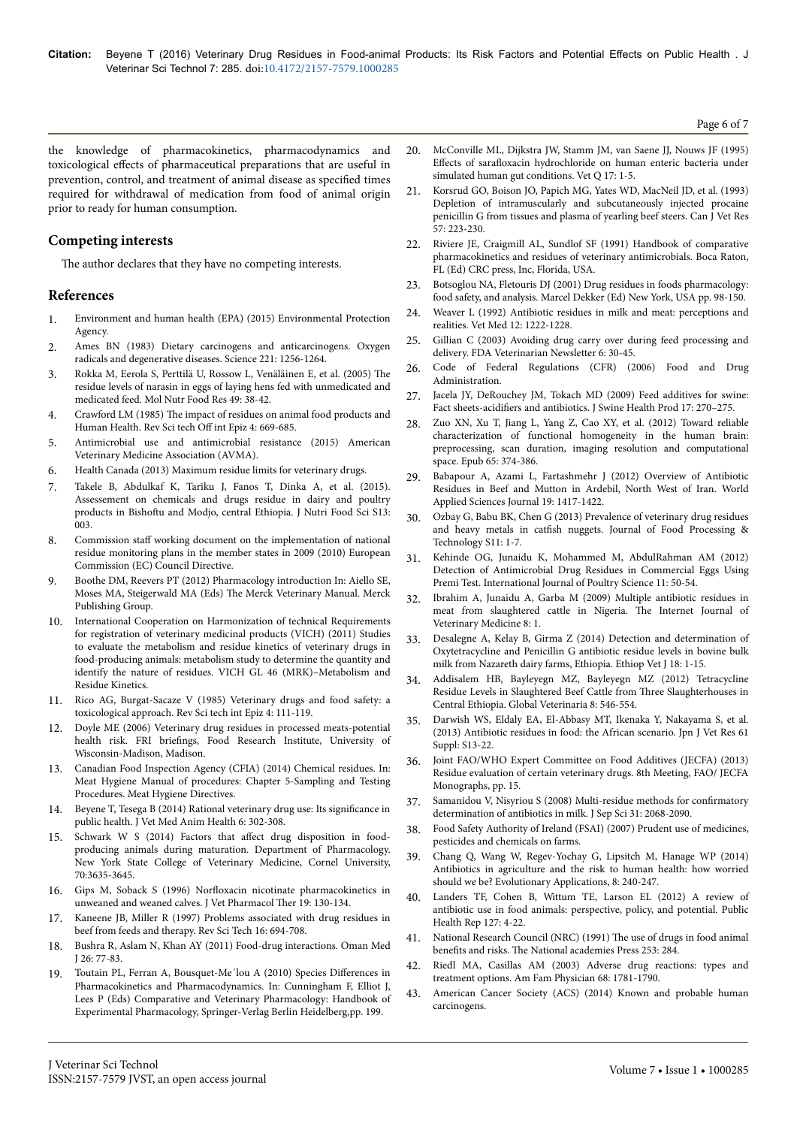Page 6 of 7

the knowledge of pharmacokinetics, pharmacodynamics and toxicological effects of pharmaceutical preparations that are useful in prevention, control, and treatment of animal disease as specified times required for withdrawal of medication from food of animal origin prior to ready for human consumption.

## **Competing interests**

The author declares that they have no competing interests.

#### **References**

- 1. [Environment and human health \(EPA\) \(2015\) Environmental Protection](http://testweb.epa.ie/irelandsenvironment/environment-&-health/) [Agency.](http://testweb.epa.ie/irelandsenvironment/environment-&-health/)
- 2. [Ames BN \(1983\) Dietary carcinogens and anticarcinogens. Oxygen](http://www.ncbi.nlm.nih.gov/pubmed/6351251) [radicals and degenerative diseases. Science 221: 1256-1264.](http://www.ncbi.nlm.nih.gov/pubmed/6351251)
- 3. [Rokka M, Eerola S, Perttilä U, Rossow L, Venäläinen E, et al. \(2005\)](http://www.ncbi.nlm.nih.gov/pubmed/15538711) Нe [residue levels of narasin in eggs of laying hens fed with unmedicated and](http://www.ncbi.nlm.nih.gov/pubmed/15538711) [medicated feed. Mol Nutr Food Res 49: 38-42.](http://www.ncbi.nlm.nih.gov/pubmed/15538711)
- 4. Crawford LM (1985) Нe [impact of residues on animal food products and](http://www.oie.int/doc/ged/D8848.PDF) [Human Health. Rev Sci tech](http://www.oie.int/doc/ged/D8848.PDF) Off int Epiz 4: 669-685.
- 5. [Antimicrobial use and antimicrobial resistance \(2015\) American](https://www.avma.org/KB/Resources/FAQs/Pages/Antimicrobial-Use-and-Antimicrobial-Resistance-FAQs.aspx) [Veterinary Medicine Association \(AVMA\).](https://www.avma.org/KB/Resources/FAQs/Pages/Antimicrobial-Use-and-Antimicrobial-Resistance-FAQs.aspx)
- 6. [Health Canada \(2013\) Maximum residue limits for veterinary drugs.](http://www.hc-sc.gc.ca/)
- 7. [Takele B, Abdulkaf K, Tariku J, Fanos T, Dinka A, et al. \(2015\).](http://www.omicsonline.org/open-access/assessment-on-chemicals-and-drugs-residue-in-dairy-and-poultry-products-in-bishoftu-and-modjo-central-ethiopia-2155-9600-S13-002.pdf) [Assessement on chemicals and drugs residue in dairy and poultry](http://www.omicsonline.org/open-access/assessment-on-chemicals-and-drugs-residue-in-dairy-and-poultry-products-in-bishoftu-and-modjo-central-ethiopia-2155-9600-S13-002.pdf) products in Bishoftu [and Modjo, central Ethiopia. J Nutri Food Sci S13:](http://www.omicsonline.org/open-access/assessment-on-chemicals-and-drugs-residue-in-dairy-and-poultry-products-in-bishoftu-and-modjo-central-ethiopia-2155-9600-S13-002.pdf) [003.](http://www.omicsonline.org/open-access/assessment-on-chemicals-and-drugs-residue-in-dairy-and-poultry-products-in-bishoftu-and-modjo-central-ethiopia-2155-9600-S13-002.pdf)
- 8. Commission staff [working document on the implementation of national](http://www.google.co.in/url?sa=t&rct=j&q=&esrc=s&source=web&cd=1&ved=0ahUKEwjxuq7A9ZnKAhUGGY4KHWH8AZUQFggbMAA&url=http%3A%2F%2Fwww.europarl.europa.eu%2FRegData%2Fdocs_autres_institutions%2Fcommission_europeenne%2Fsec%2F2011%2F0475%2FCOM_SEC%282011%290475%28PAR3%29_EN.doc&usg=AFQjCNFImrHarYckS23_cVxd_91ktKwLfw&bvm=bv.110151844,d.c2E&cad=rja) [residue monitoring plans in the member states in 2009 \(2010\) European](http://www.google.co.in/url?sa=t&rct=j&q=&esrc=s&source=web&cd=1&ved=0ahUKEwjxuq7A9ZnKAhUGGY4KHWH8AZUQFggbMAA&url=http%3A%2F%2Fwww.europarl.europa.eu%2FRegData%2Fdocs_autres_institutions%2Fcommission_europeenne%2Fsec%2F2011%2F0475%2FCOM_SEC%282011%290475%28PAR3%29_EN.doc&usg=AFQjCNFImrHarYckS23_cVxd_91ktKwLfw&bvm=bv.110151844,d.c2E&cad=rja) [Commission \(EC\) Council Directive.](http://www.google.co.in/url?sa=t&rct=j&q=&esrc=s&source=web&cd=1&ved=0ahUKEwjxuq7A9ZnKAhUGGY4KHWH8AZUQFggbMAA&url=http%3A%2F%2Fwww.europarl.europa.eu%2FRegData%2Fdocs_autres_institutions%2Fcommission_europeenne%2Fsec%2F2011%2F0475%2FCOM_SEC%282011%290475%28PAR3%29_EN.doc&usg=AFQjCNFImrHarYckS23_cVxd_91ktKwLfw&bvm=bv.110151844,d.c2E&cad=rja)
- 9. [Boothe DM, Reevers PT \(2012\) Pharmacology introduction In: Aiello SE,](http://www.amazon.com/Merck-Veterinary-Manual-10th-Edition/dp/B006Z0UPJ0?tag=duckduckgo-d-20) [Moses MA, Steigerwald MA \(Eds\)](http://www.amazon.com/Merck-Veterinary-Manual-10th-Edition/dp/B006Z0UPJ0?tag=duckduckgo-d-20) Нe Merck Veterinary Manual. Merck [Publishing Group.](http://www.amazon.com/Merck-Veterinary-Manual-10th-Edition/dp/B006Z0UPJ0?tag=duckduckgo-d-20)
- 10. [International Cooperation on Harmonization of technical Requirements](http://www.vichsec.org/) [for registration of veterinary medicinal products \(VICH\) \(2011\) Studies](http://www.vichsec.org/) [to evaluate the metabolism and residue kinetics of veterinary drugs in](http://www.vichsec.org/) [food-producing animals: metabolism study to determine the quantity and](http://www.vichsec.org/) [identify the nature of residues. VICH GL 46 \(MRK\)–Metabolism and](http://www.vichsec.org/) [Residue Kinetics.](http://www.vichsec.org/)
- 11. [Rico AG, Burgat-Sacaze V \(1985\) Veterinary drugs and food safety: a](http://www.oie.int/doc/ged/D8809.PDF) [toxicological approach. Rev Sci tech int Epiz 4: 111-119.](http://www.oie.int/doc/ged/D8809.PDF)
- 12. [Doyle ME \(2006\) Veterinary drug residues in processed meats-potential](https://fri.wisc.edu/files/Briefs_File/FRIBrief_VetDrgRes.pdf) health risk. FRI briefings, [Food Research Institute, University of](https://fri.wisc.edu/files/Briefs_File/FRIBrief_VetDrgRes.pdf) [Wisconsin-Madison, Madison.](https://fri.wisc.edu/files/Briefs_File/FRIBrief_VetDrgRes.pdf)
- 13. [Canadian Food Inspection Agency \(CFIA\) \(2014\) Chemical residues. In:](http://www.inspection.gc.ca/food/meat-and-poultry-products/manual-of-procedures/chapter-5/eng/1395150894222/1395150895519) [Meat Hygiene Manual of procedures: Chapter 5-Sampling and Testing](http://www.inspection.gc.ca/food/meat-and-poultry-products/manual-of-procedures/chapter-5/eng/1395150894222/1395150895519) [Procedures. Meat Hygiene Directives.](http://www.inspection.gc.ca/food/meat-and-poultry-products/manual-of-procedures/chapter-5/eng/1395150894222/1395150895519)
- 14. [Beyene T, Tesega B \(2014\) Rational veterinary drug use: Its](http://www.ncbi.nlm.nih.gov/pmc/articles/PMC4584433/) significance in [public health. J Vet Med Anim Health 6: 302-308.](http://www.ncbi.nlm.nih.gov/pmc/articles/PMC4584433/)
- 15. [Schwark W S \(2014\) Factors that](https://www.animalsciencepublications.org/publications/jas/pdfs/70/11/3635?search-result=1) affect drug disposition in food[producing animals during maturation. Department of Pharmacology.](https://www.animalsciencepublications.org/publications/jas/pdfs/70/11/3635?search-result=1) [New York State College of Veterinary Medicine, Cornel University,](https://www.animalsciencepublications.org/publications/jas/pdfs/70/11/3635?search-result=1) [70:3635-3645.](https://www.animalsciencepublications.org/publications/jas/pdfs/70/11/3635?search-result=1)
- 16. Gips M, Soback S (1996) Norfloxacin [nicotinate pharmacokinetics in](http://www.ncbi.nlm.nih.gov/pubmed/8735421) [unweaned and weaned calves. J Vet Pharmacol](http://www.ncbi.nlm.nih.gov/pubmed/8735421) Ther 19: 130-134.
- 17. [Kaneene JB, Miller R \(1997\) Problems associated with drug residues in](http://www.ncbi.nlm.nih.gov/pubmed/9501382) [beef from feeds and therapy. Rev Sci Tech 16: 694-708.](http://www.ncbi.nlm.nih.gov/pubmed/9501382)
- 18. [Bushra R, Aslam N, Khan AY \(2011\) Food-drug interactions. Oman Med](http://www.ncbi.nlm.nih.gov/pubmed/22043389) [J 26: 77-83.](http://www.ncbi.nlm.nih.gov/pubmed/22043389)
- 19. Toutain PL, Ferran A, Bousquet-Me'lou A (2010) Species Differences in [Pharmacokinetics and Pharmacodynamics. In: Cunningham F, Elliot J,](http://r.duckduckgo.com/l/?kh=-1&uddg=http%3A%2F%2Fwww.springer.com%2Fcda%2Fcontent%2Fdocument%2Fcda_downloaddocument%2F9783642103230-c1.pdf%3FSGWID%3D0-0-45-878242-p173942310) [Lees P \(Eds\) Comparative and Veterinary Pharmacology: Handbook of](http://r.duckduckgo.com/l/?kh=-1&uddg=http%3A%2F%2Fwww.springer.com%2Fcda%2Fcontent%2Fdocument%2Fcda_downloaddocument%2F9783642103230-c1.pdf%3FSGWID%3D0-0-45-878242-p173942310) [Experimental Pharmacology, Springer-Verlag Berlin Heidelberg,pp. 199.](http://r.duckduckgo.com/l/?kh=-1&uddg=http%3A%2F%2Fwww.springer.com%2Fcda%2Fcontent%2Fdocument%2Fcda_downloaddocument%2F9783642103230-c1.pdf%3FSGWID%3D0-0-45-878242-p173942310)
- 20. [McConville ML, Dijkstra JW, Stamm JM, van Saene JJ, Nouws JF \(1995\)](http://www.ncbi.nlm.nih.gov/pubmed/7610549) Effects of sarafloxacin [hydrochloride on human enteric bacteria under](http://www.ncbi.nlm.nih.gov/pubmed/7610549) [simulated human gut conditions. Vet Q 17: 1-5.](http://www.ncbi.nlm.nih.gov/pubmed/7610549)
- 21. [Korsrud GO, Boison JO, Papich MG, Yates WD, MacNeil JD, et al. \(1993\)](http://www.ncbi.nlm.nih.gov/pubmed/8269359) [Depletion of intramuscularly and subcutaneously injected procaine](http://www.ncbi.nlm.nih.gov/pubmed/8269359) [penicillin G from tissues and plasma of yearling beef steers. Can J Vet Res](http://www.ncbi.nlm.nih.gov/pubmed/8269359) [57: 223-230.](http://www.ncbi.nlm.nih.gov/pubmed/8269359)
- 22. Riviere JE, Craigmill AL, Sundlof SF (1991) Handbook of comparative pharmacokinetics and residues of veterinary antimicrobials. Boca Raton, FL (Ed) CRC press, Inc, Florida, USA.
- 23. [Botsoglou NA, Fletouris DJ \(2001\) Drug residues in foods pharmacology:](http://www.worldcat.org/title/drug-residues-in-foods-pharmacology-food-safety-and-analysis/oclc/559205513) [food safety, and analysis. Marcel Dekker \(Ed\) New York, USA pp. 98-150.](http://www.worldcat.org/title/drug-residues-in-foods-pharmacology-food-safety-and-analysis/oclc/559205513)
- 24. [Weaver L \(1992\) Antibiotic residues in milk and meat: perceptions and](http://www.academicjournals.org/journal/AJFS/article-full-text-pdf/0A3E1CB53898) [realities. Vet Med 12: 1222-1228.](http://www.academicjournals.org/journal/AJFS/article-full-text-pdf/0A3E1CB53898)
- 25. [Gillian C \(2003\) Avoiding drug carry over during feed processing and](http://www.feedmachinery.com/articles/home/avoid_feed_contamination/) [delivery. FDA Veterinarian Newsletter 6: 30-45.](http://www.feedmachinery.com/articles/home/avoid_feed_contamination/)
- 26. Code of Federal Regulations (CFR) (2006) Food and Drug Administration.
- 27. [Jacela JY, DeRouchey JM, Tokach MD \(2009\) Feed additives for swine:](https://www.aasv.org/shap/issues/v17n5/v17n5p270.pdf) Fact sheets-acidifiers [and antibiotics. J Swine Health Prod 17: 270–275.](https://www.aasv.org/shap/issues/v17n5/v17n5p270.pdf)
- 28. [Zuo XN, Xu T, Jiang L, Yang Z, Cao XY, et al. \(2012\) Toward reliable](http://www.ncbi.nlm.nih.gov/pubmed/23085497) [characterization of functional homogeneity in the human brain:](http://www.ncbi.nlm.nih.gov/pubmed/23085497) [preprocessing, scan duration, imaging resolution and computational](http://www.ncbi.nlm.nih.gov/pubmed/23085497) [space. Epub 65: 374-386.](http://www.ncbi.nlm.nih.gov/pubmed/23085497)
- 29. [Babapour A, Azami L, Fartashmehr J \(2012\) Overview of Antibiotic](http://www.idosi.org/wasj/wasj19%2810%2912/8.pdf) [Residues in Beef and Mutton in Ardebil, North West of Iran. World](http://www.idosi.org/wasj/wasj19%2810%2912/8.pdf) [Applied Sciences Journal 19: 1417-1422.](http://www.idosi.org/wasj/wasj19%2810%2912/8.pdf)
- [Ozbay G, Babu BK, Chen G \(2013\) Prevalence of veterinary drug residues](http://www.cabdirect.org/abstracts/20133347274.html;jsessionid=01B729659DC0E87DFE3E393A6A9AD9F3) and heavy metals in catfish [nuggets. Journal of Food Processing &](http://www.cabdirect.org/abstracts/20133347274.html;jsessionid=01B729659DC0E87DFE3E393A6A9AD9F3) [Technology S11: 1-7.](http://www.cabdirect.org/abstracts/20133347274.html;jsessionid=01B729659DC0E87DFE3E393A6A9AD9F3)
- 31. [Kehinde OG, Junaidu K, Mohammed M, AbdulRahman AM \(2012\)](http://www.pjbs.org/ijps/fin2062.pdf) [Detection of Antimicrobial Drug Residues in Commercial Eggs Using](http://www.pjbs.org/ijps/fin2062.pdf) [Premi Test. International Journal of Poultry Science 11: 50-54.](http://www.pjbs.org/ijps/fin2062.pdf)
- 32. [Ibrahim A, Junaidu A, Garba M \(2009\) Multiple antibiotic residues in](http://ispub.com/IJVM/8/1/11167) [meat from slaughtered cattle in Nigeria.](http://ispub.com/IJVM/8/1/11167) Нe Internet Journal of [Veterinary Medicine 8: 1.](http://ispub.com/IJVM/8/1/11167)
- 33. [Desalegne A, Kelay B, Girma Z \(2014\) Detection and determination of](http://r.duckduckgo.com/l/?kh=-1&uddg=http%3A%2F%2Fwww.ajol.info%2Findex.php%2Fevj%2Farticle%2Fdownload%2F119774%2F109232) [Oxytetracycline and Penicillin G antibiotic residue levels in bovine bulk](http://r.duckduckgo.com/l/?kh=-1&uddg=http%3A%2F%2Fwww.ajol.info%2Findex.php%2Fevj%2Farticle%2Fdownload%2F119774%2F109232) [milk from Nazareth dairy farms, Ethiopia. Ethiop Vet J 18: 1-15.](http://r.duckduckgo.com/l/?kh=-1&uddg=http%3A%2F%2Fwww.ajol.info%2Findex.php%2Fevj%2Farticle%2Fdownload%2F119774%2F109232)
- 34. [Addisalem HB, Bayleyegn MZ, Bayleyegn MZ \(2012\) Tetracycline](http://idosi.org/gv/GV8%286%2912/1.pdf) [Residue Levels in Slaughtered Beef Cattle from](http://idosi.org/gv/GV8%286%2912/1.pdf) Нree Slaughterhouses in [Central Ethiopia. Global Veterinaria 8: 546-554.](http://idosi.org/gv/GV8%286%2912/1.pdf)
- 35. [Darwish WS, Eldaly EA, El-Abbasy MT, Ikenaka Y, Nakayama S, et al.](http://www.ncbi.nlm.nih.gov/pubmed/23631148) [\(2013\) Antibiotic residues in food: the African scenario. Jpn J Vet Res 61](http://www.ncbi.nlm.nih.gov/pubmed/23631148) [Suppl: S13-22.](http://www.ncbi.nlm.nih.gov/pubmed/23631148)
- 36. [Joint FAO/WHO Expert Committee on Food Additives \(JECFA\) \(2013\)](http://www.fao.org/3/a-i3745e.pdf) [Residue evaluation of certain veterinary drugs. 8th Meeting, FAO/ JECFA](http://www.fao.org/3/a-i3745e.pdf) [Monographs, pp. 15.](http://www.fao.org/3/a-i3745e.pdf)
- 37. [Samanidou V, Nisyriou S \(2008\) Multi-residue methods for](http://www.ncbi.nlm.nih.gov/pubmed/18615808) confirmatory [determination of antibiotics in milk. J Sep Sci 31: 2068-2090.](http://www.ncbi.nlm.nih.gov/pubmed/18615808)
- 38. [Food Safety Authority of Ireland \(FSAI\) \(2007\) Prudent use of medicines,](http://www.fao.org/3/a-i3745e.pdf) [pesticides and chemicals on farms.](http://www.fao.org/3/a-i3745e.pdf)
- 39. [Chang Q, Wang W, Regev-Yochay G, Lipsitch M, Hanage WP \(2014\)](http://onlinelibrary.wiley.com/doi/10.1111/eva.12185/abstract) [Antibiotics in agriculture and the risk to human health: how worried](http://onlinelibrary.wiley.com/doi/10.1111/eva.12185/abstract) [should we be? Evolutionary Applications, 8: 240-247.](http://onlinelibrary.wiley.com/doi/10.1111/eva.12185/abstract)
- [Landers TF, Cohen B, Wittum TE, Larson EL \(2012\) A review of](http://www.ncbi.nlm.nih.gov/pubmed/22298919) [antibiotic use in food animals: perspective, policy, and potential. Public](http://www.ncbi.nlm.nih.gov/pubmed/22298919) [Health Rep 127: 4-22.](http://www.ncbi.nlm.nih.gov/pubmed/22298919)
- 41. [National Research Council \(NRC\) \(1991\)](http://www.nap.edu/catalog/5137/the-use-of-drugs-in-food-animals-benefits-and-risks) Нe use of drugs in food animal benefits and risks. Нe [National academies Press 253: 284.](http://www.nap.edu/catalog/5137/the-use-of-drugs-in-food-animals-benefits-and-risks)
- 42. [Riedl MA, Casillas AM \(2003\) Adverse drug reactions: types and](http://www.ncbi.nlm.nih.gov/pubmed/14620598) [treatment options. Am Fam Physician 68: 1781-1790.](http://www.ncbi.nlm.nih.gov/pubmed/14620598)
- 43. [American Cancer Society \(ACS\) \(2014\) Known and probable human](http://www.cancer.org/) [carcinogens.](http://www.cancer.org/)